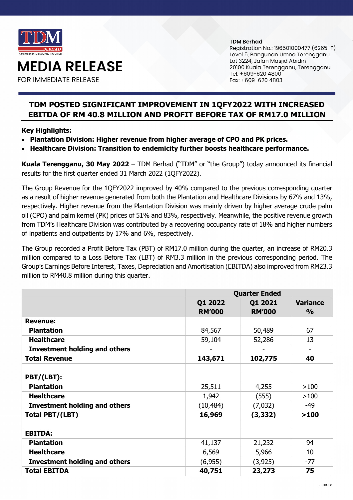

**MEDIA RELEASE** 

**FOR IMMEDIATE RELEASE** 

#### **TDM Berhad**

Registration No.: 196501000477 (6265-P) Level 5, Bangunan Umno Terengganu Lot 3224, Jalan Masjid Abidin 20100 Kuala Terengganu, Terengganu Tel: +609-620 4800 Fax: +609-620 4803

# **TDM POSTED SIGNIFICANT IMPROVEMENT IN 1QFY2022 WITH INCREASED EBITDA OF RM 40.8 MILLION AND PROFIT BEFORE TAX OF RM17.0 MILLION**

# **Key Highlights:**

- **Plantation Division: Higher revenue from higher average of CPO and PK prices.**
- **Healthcare Division: Transition to endemicity further boosts healthcare performance.**

**Kuala Terengganu, 30 May 2022** – TDM Berhad ("TDM" or "the Group") today announced its financial results for the first quarter ended 31 March 2022 (1QFY2022).

The Group Revenue for the 1QFY2022 improved by 40% compared to the previous corresponding quarter as a result of higher revenue generated from both the Plantation and Healthcare Divisions by 67% and 13%, respectively. Higher revenue from the Plantation Division was mainly driven by higher average crude palm oil (CPO) and palm kernel (PK) prices of 51% and 83%, respectively. Meanwhile, the positive revenue growth from TDM's Healthcare Division was contributed by a recovering occupancy rate of 18% and higher numbers of inpatients and outpatients by 17% and 6%, respectively.

The Group recorded a Profit Before Tax (PBT) of RM17.0 million during the quarter, an increase of RM20.3 million compared to a Loss Before Tax (LBT) of RM3.3 million in the previous corresponding period. The Group's Earnings Before Interest, Taxes, Depreciation and Amortisation (EBITDA) also improved from RM23.3 million to RM40.8 million during this quarter.

|                                      | <b>Quarter Ended</b>     |                          |                                  |
|--------------------------------------|--------------------------|--------------------------|----------------------------------|
|                                      | Q1 2022<br><b>RM'000</b> | Q1 2021<br><b>RM'000</b> | <b>Variance</b><br>$\frac{0}{0}$ |
| <b>Revenue:</b>                      |                          |                          |                                  |
| <b>Plantation</b>                    | 84,567                   | 50,489                   | 67                               |
| <b>Healthcare</b>                    | 59,104                   | 52,286                   | 13                               |
| <b>Investment holding and others</b> |                          |                          | ۰                                |
| <b>Total Revenue</b>                 | 143,671                  | 102,775                  | 40                               |
|                                      |                          |                          |                                  |
| PBT/(LBT):                           |                          |                          |                                  |
| <b>Plantation</b>                    | 25,511                   | 4,255                    | >100                             |
| <b>Healthcare</b>                    | 1,942                    | (555)                    | >100                             |
| <b>Investment holding and others</b> | (10, 484)                | (7,032)                  | -49                              |
| Total PBT/(LBT)                      | 16,969                   | (3, 332)                 | >100                             |
|                                      |                          |                          |                                  |
| <b>EBITDA:</b>                       |                          |                          |                                  |
| <b>Plantation</b>                    | 41,137                   | 21,232                   | 94                               |
| <b>Healthcare</b>                    | 6,569                    | 5,966                    | 10                               |
| <b>Investment holding and others</b> | (6,955)                  | (3, 925)                 | $-77$                            |
| <b>Total EBITDA</b>                  | 40,751                   | 23,273                   | 75                               |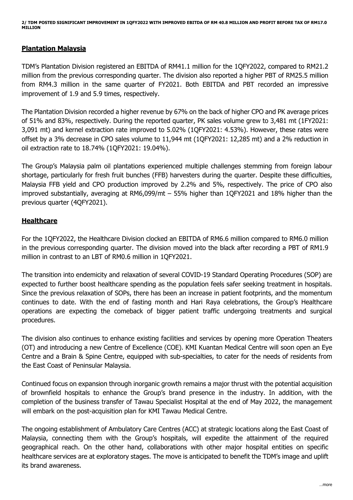**2/ TDM POSTED SIGNIFICANT IMPROVEMENT IN 1QFY2022 WITH IMPROVED EBITDA OF RM 40.8 MILLION AND PROFIT BEFORE TAX OF RM17.0 MILLION**

### **Plantation Malaysia**

TDM's Plantation Division registered an EBITDA of RM41.1 million for the 1QFY2022, compared to RM21.2 million from the previous corresponding quarter. The division also reported a higher PBT of RM25.5 million from RM4.3 million in the same quarter of FY2021. Both EBITDA and PBT recorded an impressive improvement of 1.9 and 5.9 times, respectively.

The Plantation Division recorded a higher revenue by 67% on the back of higher CPO and PK average prices of 51% and 83%, respectively. During the reported quarter, PK sales volume grew to 3,481 mt (1FY2021: 3,091 mt) and kernel extraction rate improved to 5.02% (1QFY2021: 4.53%). However, these rates were offset by a 3% decrease in CPO sales volume to 11,944 mt (1QFY2021: 12,285 mt) and a 2% reduction in oil extraction rate to 18.74% (1QFY2021: 19.04%).

The Group's Malaysia palm oil plantations experienced multiple challenges stemming from foreign labour shortage, particularly for fresh fruit bunches (FFB) harvesters during the quarter. Despite these difficulties, Malaysia FFB yield and CPO production improved by 2.2% and 5%, respectively. The price of CPO also improved substantially, averaging at RM6,099/mt – 55% higher than 1QFY2021 and 18% higher than the previous quarter (4QFY2021).

# **Healthcare**

For the 1QFY2022, the Healthcare Division clocked an EBITDA of RM6.6 million compared to RM6.0 million in the previous corresponding quarter. The division moved into the black after recording a PBT of RM1.9 million in contrast to an LBT of RM0.6 million in 1QFY2021.

The transition into endemicity and relaxation of several COVID-19 Standard Operating Procedures (SOP) are expected to further boost healthcare spending as the population feels safer seeking treatment in hospitals. Since the previous relaxation of SOPs, there has been an increase in patient footprints, and the momentum continues to date. With the end of fasting month and Hari Raya celebrations, the Group's Healthcare operations are expecting the comeback of bigger patient traffic undergoing treatments and surgical procedures.

The division also continues to enhance existing facilities and services by opening more Operation Theaters (OT) and introducing a new Centre of Excellence (COE). KMI Kuantan Medical Centre will soon open an Eye Centre and a Brain & Spine Centre, equipped with sub-specialties, to cater for the needs of residents from the East Coast of Peninsular Malaysia.

Continued focus on expansion through inorganic growth remains a major thrust with the potential acquisition of brownfield hospitals to enhance the Group's brand presence in the industry. In addition, with the completion of the business transfer of Tawau Specialist Hospital at the end of May 2022, the management will embark on the post-acquisition plan for KMI Tawau Medical Centre.

The ongoing establishment of Ambulatory Care Centres (ACC) at strategic locations along the East Coast of Malaysia, connecting them with the Group's hospitals, will expedite the attainment of the required geographical reach. On the other hand, collaborations with other major hospital entities on specific healthcare services are at exploratory stages. The move is anticipated to benefit the TDM's image and uplift its brand awareness.